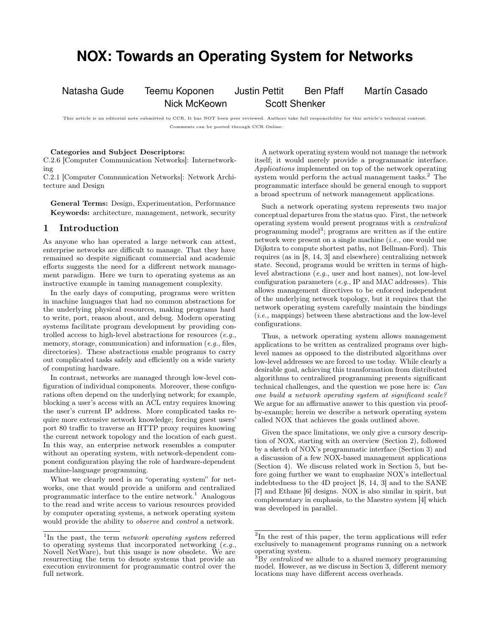# **NOX: Towards an Operating System for Networks**

Natasha Gude Teemu Koponen Justin Pettit Ben Pfaff Martín Casado

Nick McKeown Scott Shenker

This article is an editorial note submitted to CCR. It has NOT been peer reviewed. Authors take full responsibility for this article's technical content. Comments can be posted through CCR Online.

#### Categories and Subject Descriptors:

C.2.6 [Computer Communication Networks]: Internetworking

C.2.1 [Computer Communication Networks]: Network Architecture and Design

General Terms: Design, Experimentation, Performance Keywords: architecture, management, network, security

# 1 Introduction

As anyone who has operated a large network can attest, enterprise networks are difficult to manage. That they have remained so despite significant commercial and academic efforts suggests the need for a different network management paradigm. Here we turn to operating systems as an instructive example in taming management complexity.

In the early days of computing, programs were written in machine languages that had no common abstractions for the underlying physical resources, making programs hard to write, port, reason about, and debug. Modern operating systems facilitate program development by providing controlled access to high-level abstractions for resources (*e.g.*, memory, storage, communication) and information (*e.g.*, files, directories). These abstractions enable programs to carry out complicated tasks safely and efficiently on a wide variety of computing hardware.

In contrast, networks are managed through low-level configuration of individual components. Moreover, these configurations often depend on the underlying network; for example, blocking a user's access with an ACL entry requires knowing the user's current IP address. More complicated tasks require more extensive network knowledge; forcing guest users' port 80 traffic to traverse an HTTP proxy requires knowing the current network topology and the location of each guest. In this way, an enterprise network resembles a computer without an operating system, with network-dependent component configuration playing the role of hardware-dependent machine-language programming.

What we clearly need is an "operating system" for networks, one that would provide a uniform and centralized programmatic interface to the entire network.<sup>1</sup> Analogous to the read and write access to various resources provided by computer operating systems, a network operating system would provide the ability to *observe* and *control* a network.

A network operating system would not manage the network itself; it would merely provide a programmatic interface. *Applications* implemented on top of the network operating system would perform the actual management tasks.<sup>2</sup> The programmatic interface should be general enough to support a broad spectrum of network management applications.

Such a network operating system represents two major conceptual departures from the status quo. First, the network operating system would present programs with a *centralized* programming model<sup>3</sup>; programs are written as if the entire network were present on a single machine (*i.e.*, one would use Dijkstra to compute shortest paths, not Bellman-Ford). This requires (as in [8, 14, 3] and elsewhere) centralizing network state. Second, programs would be written in terms of highlevel abstractions (*e.g.*, user and host names), not low-level configuration parameters (*e.g.*, IP and MAC addresses). This allows management directives to be enforced independent of the underlying network topology, but it requires that the network operating system carefully maintain the bindings (*i.e.*, mappings) between these abstractions and the low-level configurations.

Thus, a network operating system allows management applications to be written as centralized programs over highlevel names as opposed to the distributed algorithms over low-level addresses we are forced to use today. While clearly a desirable goal, achieving this transformation from distributed algorithms to centralized programming presents significant technical challenges, and the question we pose here is: *Can one build a network operating system at significant scale?* We argue for an affirmative answer to this question via proofby-example; herein we describe a network operating system called NOX that achieves the goals outlined above.

Given the space limitations, we only give a cursory description of NOX, starting with an overview (Section 2), followed by a sketch of NOX's programmatic interface (Section 3) and a discussion of a few NOX-based management applications (Section 4). We discuss related work in Section 5, but before going further we want to emphasize NOX's intellectual indebtedness to the 4D project [8, 14, 3] and to the SANE [7] and Ethane [6] designs. NOX is also similar in spirit, but complementary in emphasis, to the Maestro system [4] which was developed in parallel.

<sup>&</sup>lt;sup>1</sup>In the past, the term *network operating system* referred to operating systems that incorporated networking  $(e.g.,)$ Novell NetWare), but this usage is now obsolete. We are resurrecting the term to denote systems that provide an execution environment for programmatic control over the full network.

<sup>2</sup>In the rest of this paper, the term applications will refer exclusively to management programs running on a network operating system.

<sup>&</sup>lt;sup>3</sup>By *centralized* we allude to a shared memory programming model. However, as we discuss in Section 3, different memory locations may have different access overheads.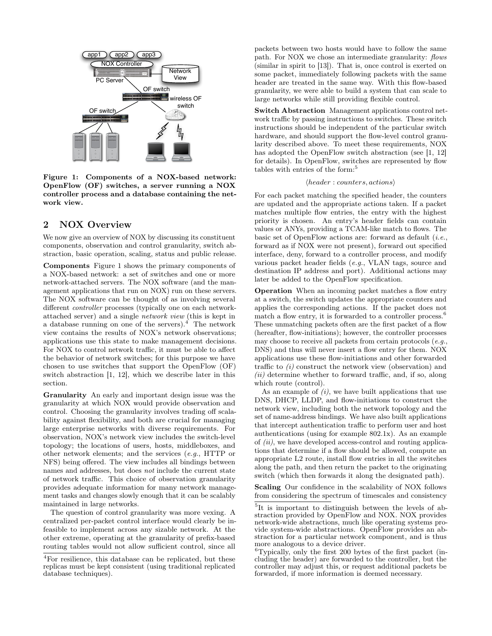

Figure 1: Components of a NOX-based network: OpenFlow (OF) switches, a server running a NOX controller process and a database containing the network view.

# 2 NOX Overview

We now give an overview of NOX by discussing its constituent components, observation and control granularity, switch abstraction, basic operation, scaling, status and public release.

Components Figure 1 shows the primary components of a NOX-based network: a set of switches and one or more network-attached servers. The NOX software (and the management applications that run on NOX) run on these servers. The NOX software can be thought of as involving several different *controller* processes (typically one on each networkattached server) and a single *network view* (this is kept in a database running on one of the servers). $<sup>4</sup>$  The network</sup> view contains the results of NOX's network observations; applications use this state to make management decisions. For NOX to control network traffic, it must be able to affect the behavior of network switches; for this purpose we have chosen to use switches that support the OpenFlow (OF) switch abstraction [1, 12], which we describe later in this section.

Granularity An early and important design issue was the granularity at which NOX would provide observation and control. Choosing the granularity involves trading off scalability against flexibility, and both are crucial for managing large enterprise networks with diverse requirements. For observation, NOX's network view includes the switch-level topology; the locations of users, hosts, middleboxes, and other network elements; and the services (*e.g.*, HTTP or NFS) being offered. The view includes all bindings between names and addresses, but does *not* include the current state of network traffic. This choice of observation granularity provides adequate information for many network management tasks and changes slowly enough that it can be scalably maintained in large networks.

The question of control granularity was more vexing. A centralized per-packet control interface would clearly be infeasible to implement across any sizable network. At the other extreme, operating at the granularity of prefix-based routing tables would not allow sufficient control, since all packets between two hosts would have to follow the same path. For NOX we chose an intermediate granularity: *flows* (similar in spirit to [13]). That is, once control is exerted on some packet, immediately following packets with the same header are treated in the same way. With this flow-based granularity, we were able to build a system that can scale to large networks while still providing flexible control.

Switch Abstraction Management applications control network traffic by passing instructions to switches. These switch instructions should be independent of the particular switch hardware, and should support the flow-level control granularity described above. To meet these requirements, NOX has adopted the OpenFlow switch abstraction (see [1, 12] for details). In OpenFlow, switches are represented by flow tables with entries of the form:<sup>5</sup>

#### $\langle header : counters, actions \rangle$

For each packet matching the specified header, the counters are updated and the appropriate actions taken. If a packet matches multiple flow entries, the entry with the highest priority is chosen. An entry's header fields can contain values or ANYs, providing a TCAM-like match to flows. The basic set of OpenFlow actions are: forward as default (*i.e.*, forward as if NOX were not present), forward out specified interface, deny, forward to a controller process, and modify various packet header fields (*e.g.*, VLAN tags, source and destination IP address and port). Additional actions may later be added to the OpenFlow specification.

Operation When an incoming packet matches a flow entry at a switch, the switch updates the appropriate counters and applies the corresponding actions. If the packet does not match a flow entry, it is forwarded to a controller process.<sup>6</sup> These unmatching packets often are the first packet of a flow (hereafter, flow-initiations); however, the controller processes may choose to receive all packets from certain protocols (*e.g.*, DNS) and thus will never insert a flow entry for them. NOX applications use these flow-initiations and other forwarded traffic to *(i)* construct the network view (observation) and *(ii)* determine whether to forward traffic, and, if so, along which route (control).

As an example of *(i)*, we have built applications that use DNS, DHCP, LLDP, and flow-initiations to construct the network view, including both the network topology and the set of name-address bindings. We have also built applications that intercept authentication traffic to perform user and host authentications (using for example 802.1x). As an example of *(ii)*, we have developed access-control and routing applications that determine if a flow should be allowed, compute an appropriate L2 route, install flow entries in all the switches along the path, and then return the packet to the originating switch (which then forwards it along the designated path).

Scaling Our confidence in the scalability of NOX follows from considering the spectrum of timescales and consistency

<sup>4</sup>For resilience, this database can be replicated, but these replicas must be kept consistent (using traditional replicated database techniques).

<sup>5</sup>It is important to distinguish between the levels of abstraction provided by OpenFlow and NOX. NOX provides network-wide abstractions, much like operating systems provide system-wide abstractions. OpenFlow provides an abstraction for a particular network component, and is thus more analogous to a device driver.

 $^6$  Typically, only the first 200 bytes of the first packet (including the header) are forwarded to the controller, but the controller may adjust this, or request additional packets be forwarded, if more information is deemed necessary.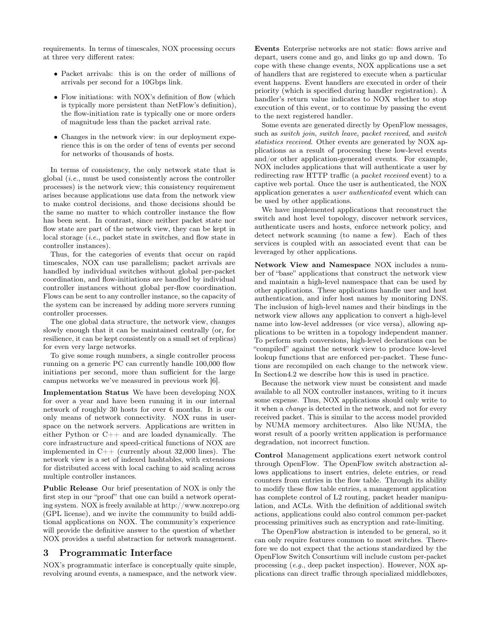requirements. In terms of timescales, NOX processing occurs at three very different rates:

- Packet arrivals: this is on the order of millions of arrivals per second for a 10Gbps link.
- Flow initiations: with NOX's definition of flow (which is typically more persistent than NetFlow's definition), the flow-initiation rate is typically one or more orders of magnitude less than the packet arrival rate.
- Changes in the network view: in our deployment experience this is on the order of tens of events per second for networks of thousands of hosts.

In terms of consistency, the only network state that is global (*i.e.*, must be used consistently across the controller processes) is the network view; this consistency requirement arises because applications use data from the network view to make control decisions, and those decisions should be the same no matter to which controller instance the flow has been sent. In contrast, since neither packet state nor flow state are part of the network view, they can be kept in local storage (*i.e.*, packet state in switches, and flow state in controller instances).

Thus, for the categories of events that occur on rapid timescales, NOX can use parallelism; packet arrivals are handled by individual switches without global per-packet coordination, and flow-initiations are handled by individual controller instances without global per-flow coordination. Flows can be sent to any controller instance, so the capacity of the system can be increased by adding more servers running controller processes.

The one global data structure, the network view, changes slowly enough that it can be maintained centrally (or, for resilience, it can be kept consistently on a small set of replicas) for even very large networks.

To give some rough numbers, a single controller process running on a generic PC can currently handle 100,000 flow initiations per second, more than sufficient for the large campus networks we've measured in previous work [6].

Implementation Status We have been developing NOX for over a year and have been running it in our internal network of roughly 30 hosts for over 6 months. It is our only means of network connectivity. NOX runs in userspace on the network servers. Applications are written in either Python or  $C_{++}$  and are loaded dynamically. The core infrastructure and speed-critical functions of NOX are implemented in  $C++$  (currently about 32,000 lines). The network view is a set of indexed hashtables, with extensions for distributed access with local caching to aid scaling across multiple controller instances.

Public Release Our brief presentation of NOX is only the first step in our "proof" that one can build a network operating system. NOX is freely available at http://www.noxrepo.org (GPL license), and we invite the community to build additional applications on NOX. The community's experience will provide the definitive answer to the question of whether NOX provides a useful abstraction for network management.

# 3 Programmatic Interface

NOX's programmatic interface is conceptually quite simple, revolving around events, a namespace, and the network view. Events Enterprise networks are not static: flows arrive and depart, users come and go, and links go up and down. To cope with these change events, NOX applications use a set of handlers that are registered to execute when a particular event happens. Event handlers are executed in order of their priority (which is specified during handler registration). A handler's return value indicates to NOX whether to stop execution of this event, or to continue by passing the event to the next registered handler.

Some events are generated directly by OpenFlow messages, such as *switch join*, *switch leave*, *packet received*, and *switch statistics received*. Other events are generated by NOX applications as a result of processing these low-level events and/or other application-generated events. For example, NOX includes applications that will authenticate a user by redirecting raw HTTP traffic (a *packet received* event) to a captive web portal. Once the user is authenticated, the NOX application generates a *user authenticated* event which can be used by other applications.

We have implemented applications that reconstruct the switch and host level topology, discover network services, authenticate users and hosts, enforce network policy, and detect network scanning (to name a few). Each of thes services is coupled with an associated event that can be leveraged by other applications.

Network View and Namespace NOX includes a number of "base" applications that construct the network view and maintain a high-level namespace that can be used by other applications. These applications handle user and host authentication, and infer host names by monitoring DNS. The inclusion of high-level names and their bindings in the network view allows any application to convert a high-level name into low-level addresses (or vice versa), allowing applications to be written in a topology independent manner. To perform such conversions, high-level declarations can be "compiled" against the network view to produce low-level lookup functions that are enforced per-packet. These functions are recompiled on each change to the network view. In Section4.2 we describe how this is used in practice.

Because the network view must be consistent and made available to all NOX controller instances, writing to it incurs some expense. Thus, NOX applications should only write to it when a *change* is detected in the network, and not for every received packet. This is similar to the access model provided by NUMA memory architectures. Also like NUMA, the worst result of a poorly written application is performance degradation, not incorrect function.

Control Management applications exert network control through OpenFlow. The OpenFlow switch abstraction allows applications to insert entries, delete entries, or read counters from entries in the flow table. Through its ability to modify these flow table entries, a management application has complete control of L2 routing, packet header manipulation, and ACLs. With the definition of additional switch actions, applications could also control common per-packet processing primitives such as encryption and rate-limiting.

The OpenFlow abstraction is intended to be general, so it can only require features common to most switches. Therefore we do not expect that the actions standardized by the OpenFlow Switch Consortium will include custom per-packet processing (*e.g.*, deep packet inspection). However, NOX applications can direct traffic through specialized middleboxes,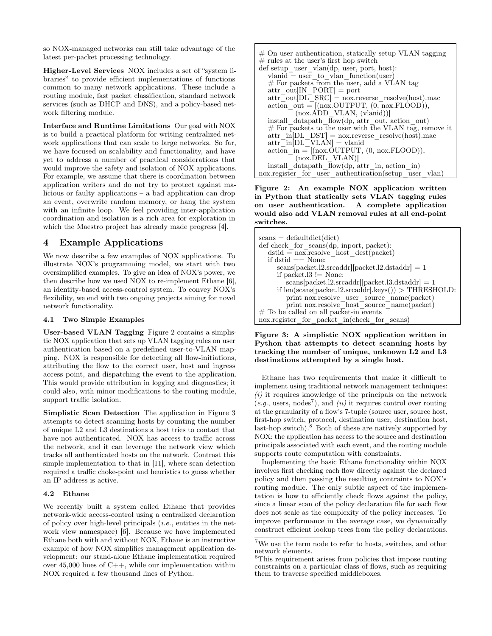so NOX-managed networks can still take advantage of the latest per-packet processing technology.

Higher-Level Services NOX includes a set of "system libraries" to provide efficient implementations of functions common to many network applications. These include a routing module, fast packet classification, standard network services (such as DHCP and DNS), and a policy-based network filtering module.

Interface and Runtime Limitations Our goal with NOX is to build a practical platform for writing centralized network applications that can scale to large networks. So far, we have focused on scalability and functionality, and have yet to address a number of practical considerations that would improve the safety and isolation of NOX applications. For example, we assume that there is coordination between application writers and do not try to protect against malicious or faulty applications – a bad application can drop an event, overwrite random memory, or hang the system with an infinite loop. We feel providing inter-application coordination and isolation is a rich area for exploration in which the Maestro project has already made progress [4].

# 4 Example Applications

We now describe a few examples of NOX applications. To illustrate NOX's programming model, we start with two oversimplified examples. To give an idea of NOX's power, we then describe how we used NOX to re-implement Ethane [6], an identity-based access-control system. To convey NOX's flexibility, we end with two ongoing projects aiming for novel network functionality.

### 4.1 Two Simple Examples

User-based VLAN Tagging Figure 2 contains a simplistic NOX application that sets up VLAN tagging rules on user authentication based on a predefined user-to-VLAN mapping. NOX is responsible for detecting all flow-initiations, attributing the flow to the correct user, host and ingress access point, and dispatching the event to the application. This would provide attribution in logging and diagnostics; it could also, with minor modifications to the routing module, support traffic isolation.

Simplistic Scan Detection The application in Figure 3 attempts to detect scanning hosts by counting the number of unique L2 and L3 destinations a host tries to contact that have not authenticated. NOX has access to traffic across the network, and it can leverage the network view which tracks all authenticated hosts on the network. Contrast this simple implementation to that in [11], where scan detection required a traffic choke-point and heuristics to guess whether an IP address is active.

# 4.2 Ethane

We recently built a system called Ethane that provides network-wide access-control using a centralized declaration of policy over high-level principals (*i.e.*, entities in the network view namespace) [6]. Because we have implemented Ethane both with and without NOX, Ethane is an instructive example of how NOX simplifies management application development: our stand-alone Ethane implementation required over  $45,000$  lines of  $C++$ , while our implementation within NOX required a few thousand lines of Python.

```
# On user authentication, statically setup VLAN tagging
# rules at the user's first hop switch
def setup_user_vlan(dp, user, port, host):
  vlanid = user_to_vlan_function(user)
   # For packets from the user, add a VLAN tag
  attr_out[IN_PORT] = port
  attr_out[DL_SRC] = nox.reverse_resolve(host).mac
   \alphaaction out = [(\text{now.}OUTPUT, (0, \text{now.}FLOOD))),(nox.ADD_VLAN, (vlanid))]
  install datapath \overline{flow}(dp, attr out, action out)# For packets to the user with the VLAN tag, remove it
   attr in[DL DST] = nox.reverse resolve(host).mac
   attr in[DL VLAN] = vlanid
  \text{action} \quad \text{in} = [(\text{nox.}\text{OUTPUT}, (0, \text{nox.}\text{FLOOD})),(nox.DEL VLAN)]install datapath \overline{flow}(dp, attr in, action in)nox.register for user authentication(setup user vlan)
```
Figure 2: An example NOX application written in Python that statically sets VLAN tagging rules on user authentication. A complete application would also add VLAN removal rules at all end-point switches.

| $scans = defaultdict(dict)$                                                                     |
|-------------------------------------------------------------------------------------------------|
| def check for scans(dp, inport, packet):                                                        |
| $\text{distid} = \overline{\text{nox}.\text{resolve}} \text{ host } \text{dest}(\text{packet})$ |
| if dstid $==$ None:                                                                             |
| $scans[packet.12.srcaddr][packet.12.dstaddr] = 1$                                               |
| if packet. $13 \equiv$ None:                                                                    |
| $scans[packet.12.srcaddr][packet.13.dstaddr] = 1$                                               |
| if $len(scans[packet.l2.srcaddr].keys()) > THRESHOLD:$                                          |
| print nox.resolve user source name(packet)                                                      |
| print nox.resolve host source name(packet)                                                      |
| $#$ To be called on all packet-in events                                                        |
| nox.register for packet in(check for scans)                                                     |

Figure 3: A simplistic NOX application written in Python that attempts to detect scanning hosts by tracking the number of unique, unknown L2 and L3 destinations attempted by a single host.

Ethane has two requirements that make it difficult to implement using traditional network management techniques: *(i)* it requires knowledge of the principals on the network  $(e,q., \text{users}, \text{nodes}^7),$  and  $(ii)$  it requires control over routing at the granularity of a flow's 7-tuple (source user, source host, first-hop switch, protocol, destination user, destination host, last-hop switch). $8$  Both of these are natively supported by NOX: the application has access to the source and destination principals associated with each event, and the routing module supports route computation with constraints.

Implementing the basic Ethane functionality within NOX involves first checking each flow directly against the declared policy and then passing the resulting contraints to NOX's routing module. The only subtle aspect of the implementation is how to efficiently check flows against the policy, since a linear scan of the policy declaration file for each flow does not scale as the complexity of the policy increases. To improve performance in the average case, we dynamically construct efficient lookup trees from the policy declarations.

 ${\rm ^7We}$  use the term node to refer to hosts, switches, and other network elements.

<sup>8</sup>This requirement arises from policies that impose routing constraints on a particular class of flows, such as requiring them to traverse specified middleboxes.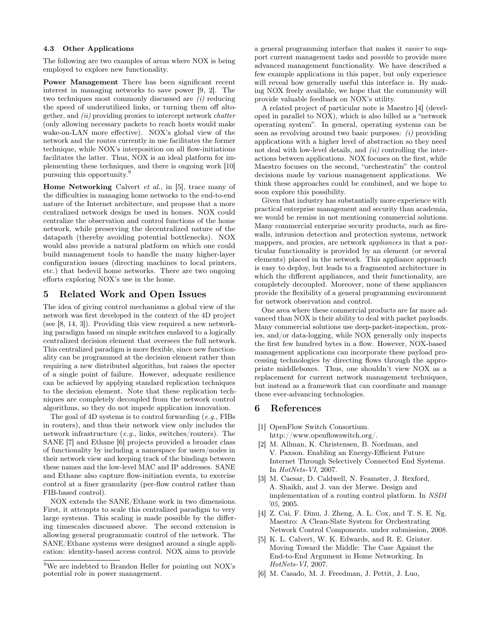## 4.3 Other Applications

The following are two examples of areas where NOX is being employed to explore new functionality.

Power Management There has been significant recent interest in managing networks to save power [9, 2]. The two techniques most commonly discussed are *(i)* reducing the speed of underutilized links, or turning them off altogether, and *(ii)* providing proxies to intercept network *chatter* (only allowing necessary packets to reach hosts would make wake-on-LAN more effective). NOX's global view of the network and the routes currently in use facilitates the former technique, while NOX's interposition on all flow-initiations facilitates the latter. Thus, NOX is an ideal platform for implementing these techniques, and there is ongoing work [10] pursuing this opportunity.<sup>9</sup>

Home Networking Calvert *et al.*, in [5], trace many of the difficulties in managing home networks to the end-to-end nature of the Internet architecture, and propose that a more centralized network design be used in homes. NOX could centralize the observation and control functions of the home network, while preserving the decentralized nature of the datapath (thereby avoiding potential bottlenecks). NOX would also provide a natural platform on which one could build management tools to handle the many higher-layer configuration issues (directing machines to local printers, etc.) that bedevil home networks. There are two ongoing efforts exploring NOX's use in the home.

# 5 Related Work and Open Issues

The idea of giving control mechanisms a global view of the network was first developed in the context of the 4D project (see [8, 14, 3]). Providing this view required a new networking paradigm based on simple switches enslaved to a logically centralized decision element that oversees the full network. This centralized paradigm is more flexible, since new functionality can be programmed at the decision element rather than requiring a new distributed algorithm, but raises the specter of a single point of failure. However, adequate resilience can be achieved by applying standard replication techniques to the decision element. Note that these replication techniques are completely decoupled from the network control algorithms, so they do not impede application innovation.

The goal of 4D systems is to control forwarding (*e.g.*, FIBs in routers), and thus their network view only includes the network infrastructure (*e.g.*, links, switches/routers). The SANE [7] and Ethane [6] projects provided a broader class of functionality by including a namespace for users/nodes in their network view and keeping track of the bindings between these names and the low-level MAC and IP addresses. SANE and Ethane also capture flow-initiation events, to exercise control at a finer granularity (per-flow control rather than FIB-based control).

NOX extends the SANE/Ethane work in two dimensions. First, it attempts to scale this centralized paradigm to very large systems. This scaling is made possible by the differing timescales discussed above. The second extension is allowing general programmatic control of the network. The SANE/Ethane systems were designed around a single application: identity-based access control. NOX aims to provide

a general programming interface that makes it *easier* to support current management tasks and *possible* to provide more advanced management functionality. We have described a few example applications in this paper, but only experience will reveal how generally useful this interface is. By making NOX freely available, we hope that the community will provide valuable feedback on NOX's utility.

A related project of particular note is Maestro [4] (developed in parallel to NOX), which is also billed as a "network operating system". In general, operating systems can be seen as revolving around two basic purposes: *(i)* providing applications with a higher level of abstraction so they need not deal with low-level details, and *(ii)* controlling the interactions between applications. NOX focuses on the first, while Maestro focuses on the second, "orchestratin" the control decisions made by various management applications. We think these approaches could be combined, and we hope to soon explore this possibility.

Given that industry has substantially more experience with practical enterprise management and security than academia, we would be remiss in not mentioning commercial solutions. Many commercial enterprise security products, such as firewalls, intrusion detection and protection systems, network mappers, and proxies, are network *appliances* in that a particular functionality is provided by an element (or several elements) placed in the network. This appliance approach is easy to deploy, but leads to a fragmented architecture in which the different appliances, and their functionality, are completely decoupled. Moreover, none of these appliances provide the flexibility of a general programming environment for network observation and control.

One area where these commercial products are far more advanced than NOX is their ability to deal with packet payloads. Many commercial solutions use deep-packet-inspection, proxies, and/or data-logging, while NOX generally only inspects the first few hundred bytes in a flow. However, NOX-based management applications can incorporate these payload processing technologies by directing flows through the appropriate middleboxes. Thus, one shouldn't view NOX as a replacement for current network management techniques, but instead as a framework that can coordinate and manage these ever-advancing technologies.

## 6 References

- [1] OpenFlow Switch Consortium. http://www.openflowswitch.org/.
- [2] M. Allman, K. Christensen, B. Nordman, and V. Paxson. Enabling an Energy-Efficient Future Internet Through Selectively Connected End Systems. In *HotNets-VI*, 2007.
- [3] M. Caesar, D. Caldwell, N. Feamster, J. Rexford, A. Shaikh, and J. van der Merwe. Design and implementation of a routing control platform. In *NSDI '05*, 2005.
- [4] Z. Cai, F. Dinu, J. Zheng, A. L. Cox, and T. S. E. Ng. Maestro: A Clean-Slate System for Orchestrating Network Control Components. under submission, 2008.
- [5] K. L. Calvert, W. K. Edwards, and R. E. Grinter. Moving Toward the Middle: The Case Against the End-to-End Argument in Home Networking. In *HotNets-VI*, 2007.
- [6] M. Casado, M. J. Freedman, J. Pettit, J. Luo,

<sup>9</sup>We are indebted to Brandon Heller for pointing out NOX's potential role in power management.